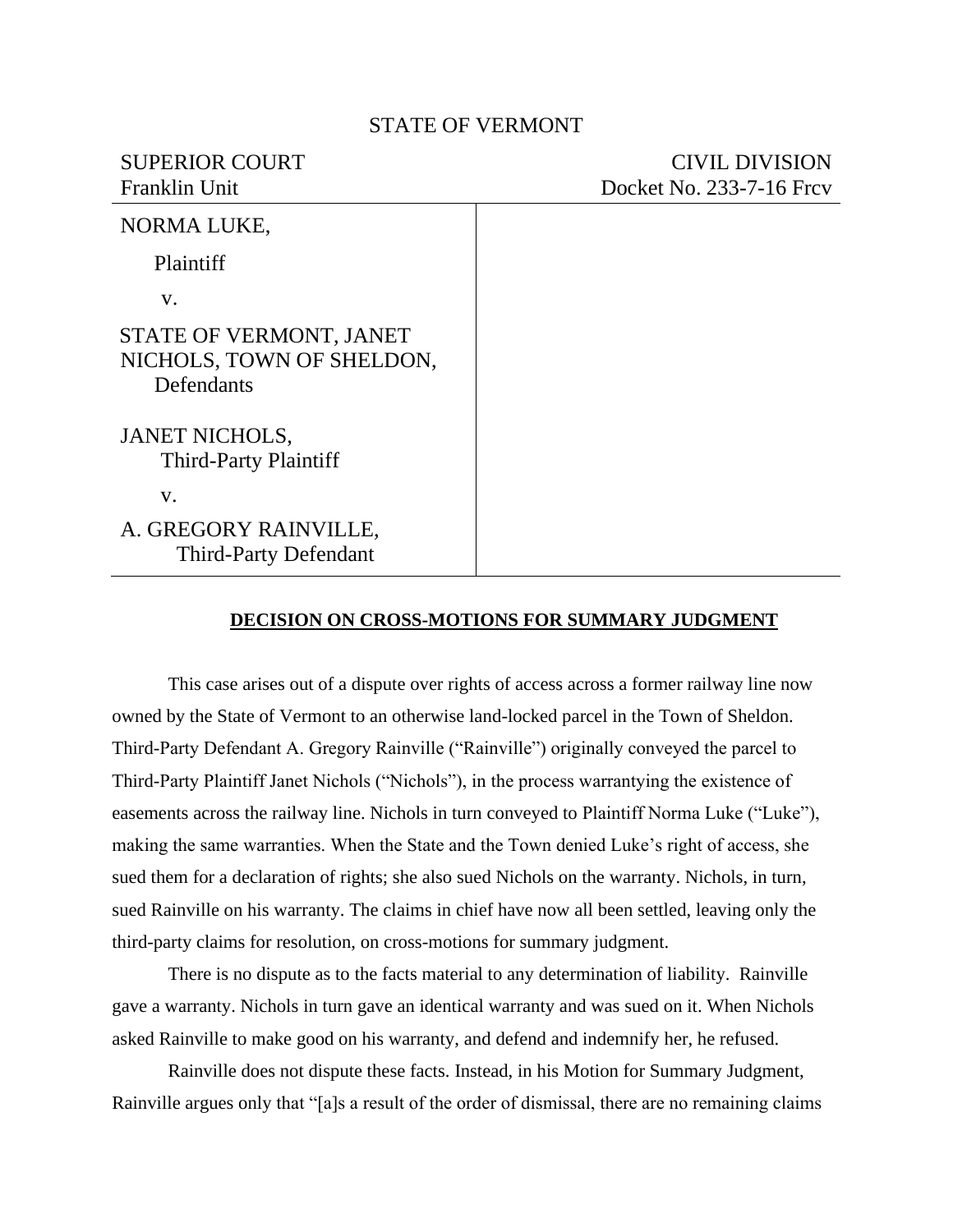## STATE OF VERMONT

## SUPERIOR COURT CIVIL DIVISION Franklin Unit Docket No. 233-7-16 Frcv

| NORMA LUKE,                                                        |  |
|--------------------------------------------------------------------|--|
| Plaintiff                                                          |  |
| V.                                                                 |  |
| STATE OF VERMONT, JANET<br>NICHOLS, TOWN OF SHELDON,<br>Defendants |  |
| <b>JANET NICHOLS,</b><br><b>Third-Party Plaintiff</b>              |  |
| V.                                                                 |  |
| A. GREGORY RAINVILLE,<br><b>Third-Party Defendant</b>              |  |

## **DECISION ON CROSS-MOTIONS FOR SUMMARY JUDGMENT**

This case arises out of a dispute over rights of access across a former railway line now owned by the State of Vermont to an otherwise land-locked parcel in the Town of Sheldon. Third-Party Defendant A. Gregory Rainville ("Rainville") originally conveyed the parcel to Third-Party Plaintiff Janet Nichols ("Nichols"), in the process warrantying the existence of easements across the railway line. Nichols in turn conveyed to Plaintiff Norma Luke ("Luke"), making the same warranties. When the State and the Town denied Luke's right of access, she sued them for a declaration of rights; she also sued Nichols on the warranty. Nichols, in turn, sued Rainville on his warranty. The claims in chief have now all been settled, leaving only the third-party claims for resolution, on cross-motions for summary judgment.

There is no dispute as to the facts material to any determination of liability. Rainville gave a warranty. Nichols in turn gave an identical warranty and was sued on it. When Nichols asked Rainville to make good on his warranty, and defend and indemnify her, he refused.

Rainville does not dispute these facts. Instead, in his Motion for Summary Judgment, Rainville argues only that "[a]s a result of the order of dismissal, there are no remaining claims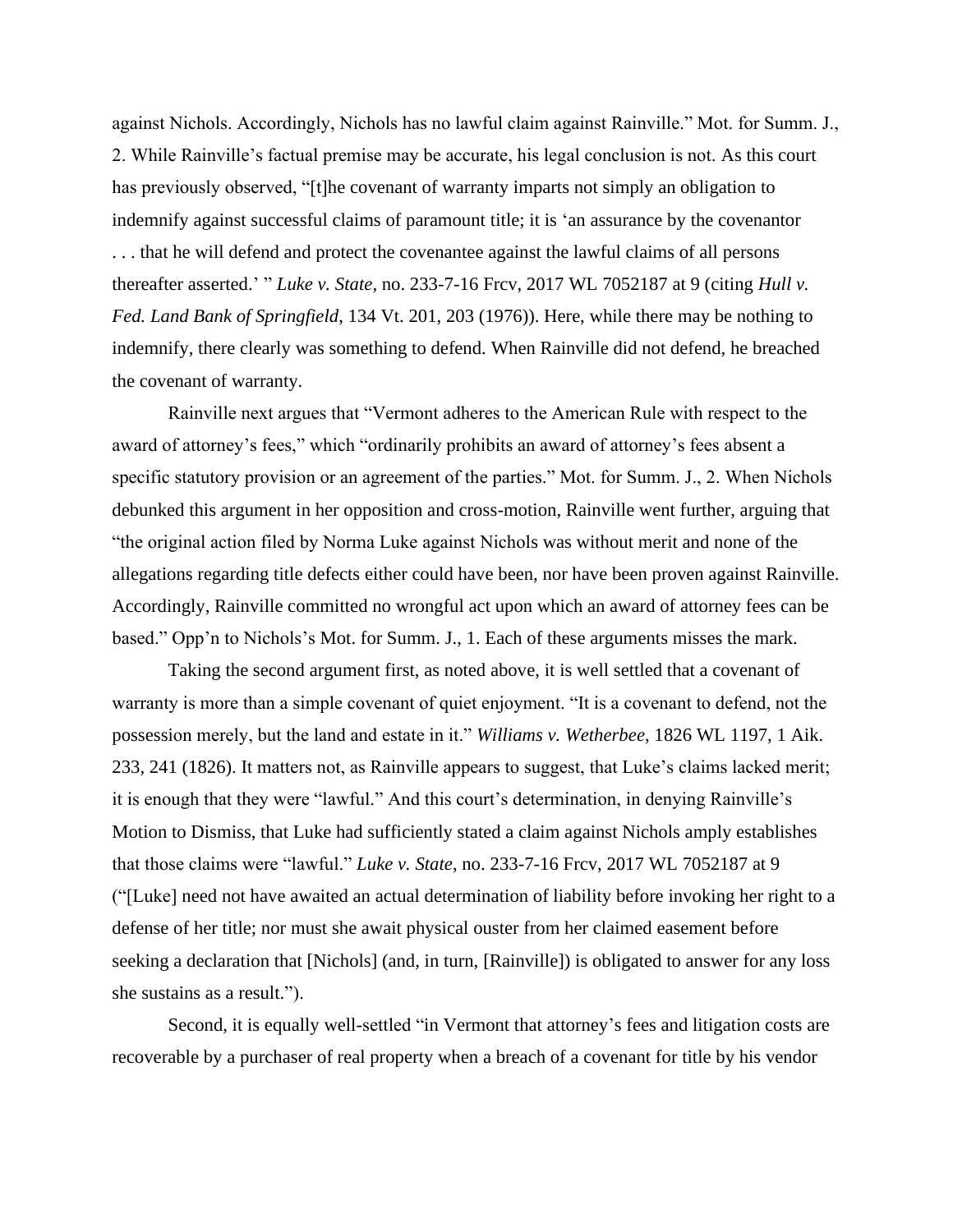against Nichols. Accordingly, Nichols has no lawful claim against Rainville." Mot. for Summ. J., 2. While Rainville's factual premise may be accurate, his legal conclusion is not. As this court has previously observed, "[t]he covenant of warranty imparts not simply an obligation to indemnify against successful claims of paramount title; it is 'an assurance by the covenantor . . . that he will defend and protect the covenantee against the lawful claims of all persons thereafter asserted.' " *Luke v. State*, no. 233-7-16 Frcv, 2017 WL 7052187 at 9 (citing *Hull v. Fed. Land Bank of Springfield*, 134 Vt. 201, 203 (1976)). Here, while there may be nothing to indemnify, there clearly was something to defend. When Rainville did not defend, he breached the covenant of warranty.

Rainville next argues that "Vermont adheres to the American Rule with respect to the award of attorney's fees," which "ordinarily prohibits an award of attorney's fees absent a specific statutory provision or an agreement of the parties." Mot. for Summ. J., 2. When Nichols debunked this argument in her opposition and cross-motion, Rainville went further, arguing that "the original action filed by Norma Luke against Nichols was without merit and none of the allegations regarding title defects either could have been, nor have been proven against Rainville. Accordingly, Rainville committed no wrongful act upon which an award of attorney fees can be based." Opp'n to Nichols's Mot. for Summ. J., 1. Each of these arguments misses the mark.

Taking the second argument first, as noted above, it is well settled that a covenant of warranty is more than a simple covenant of quiet enjoyment. "It is a covenant to defend, not the possession merely, but the land and estate in it." *Williams v. Wetherbee*, 1826 WL 1197, 1 Aik. 233, 241 (1826). It matters not, as Rainville appears to suggest, that Luke's claims lacked merit; it is enough that they were "lawful." And this court's determination, in denying Rainville's Motion to Dismiss, that Luke had sufficiently stated a claim against Nichols amply establishes that those claims were "lawful." *Luke v. State*, no. 233-7-16 Frcv, 2017 WL 7052187 at 9 ("[Luke] need not have awaited an actual determination of liability before invoking her right to a defense of her title; nor must she await physical ouster from her claimed easement before seeking a declaration that [Nichols] (and, in turn, [Rainville]) is obligated to answer for any loss she sustains as a result.").

Second, it is equally well-settled "in Vermont that attorney's fees and litigation costs are recoverable by a purchaser of real property when a breach of a covenant for title by his vendor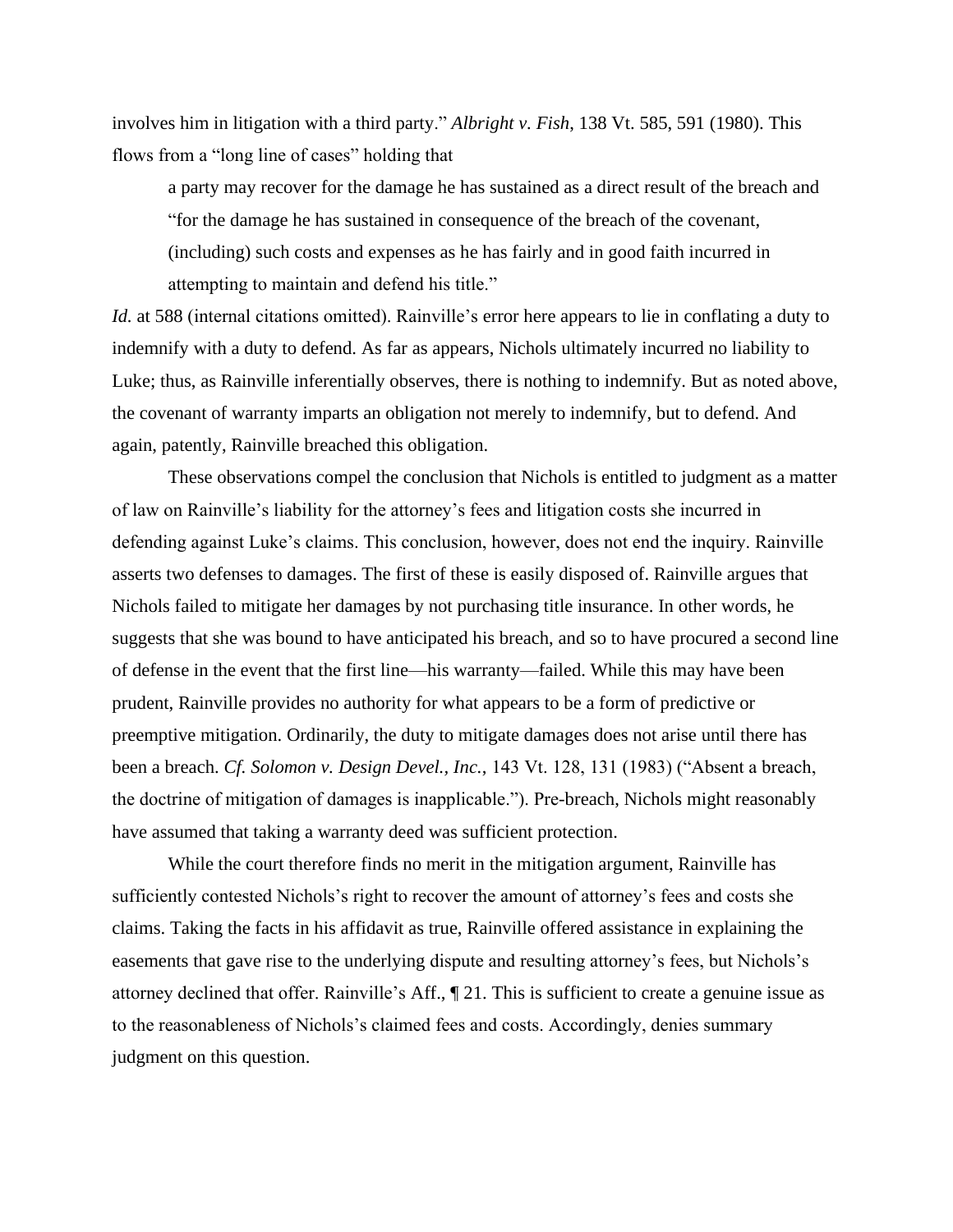involves him in litigation with a third party." *Albright v. Fish*, 138 Vt. 585, 591 (1980). This flows from a "long line of cases" holding that

a party may recover for the damage he has sustained as a direct result of the breach and "for the damage he has sustained in consequence of the breach of the covenant, (including) such costs and expenses as he has fairly and in good faith incurred in attempting to maintain and defend his title."

*Id.* at 588 (internal citations omitted). Rainville's error here appears to lie in conflating a duty to indemnify with a duty to defend. As far as appears, Nichols ultimately incurred no liability to Luke; thus, as Rainville inferentially observes, there is nothing to indemnify. But as noted above, the covenant of warranty imparts an obligation not merely to indemnify, but to defend. And again, patently, Rainville breached this obligation.

These observations compel the conclusion that Nichols is entitled to judgment as a matter of law on Rainville's liability for the attorney's fees and litigation costs she incurred in defending against Luke's claims. This conclusion, however, does not end the inquiry. Rainville asserts two defenses to damages. The first of these is easily disposed of. Rainville argues that Nichols failed to mitigate her damages by not purchasing title insurance. In other words, he suggests that she was bound to have anticipated his breach, and so to have procured a second line of defense in the event that the first line—his warranty—failed. While this may have been prudent, Rainville provides no authority for what appears to be a form of predictive or preemptive mitigation. Ordinarily, the duty to mitigate damages does not arise until there has been a breach. *Cf. Solomon v. Design Devel., Inc.*, 143 Vt. 128, 131 (1983) ("Absent a breach, the doctrine of mitigation of damages is inapplicable."). Pre-breach, Nichols might reasonably have assumed that taking a warranty deed was sufficient protection.

While the court therefore finds no merit in the mitigation argument, Rainville has sufficiently contested Nichols's right to recover the amount of attorney's fees and costs she claims. Taking the facts in his affidavit as true, Rainville offered assistance in explaining the easements that gave rise to the underlying dispute and resulting attorney's fees, but Nichols's attorney declined that offer. Rainville's Aff., ¶ 21. This is sufficient to create a genuine issue as to the reasonableness of Nichols's claimed fees and costs. Accordingly, denies summary judgment on this question.